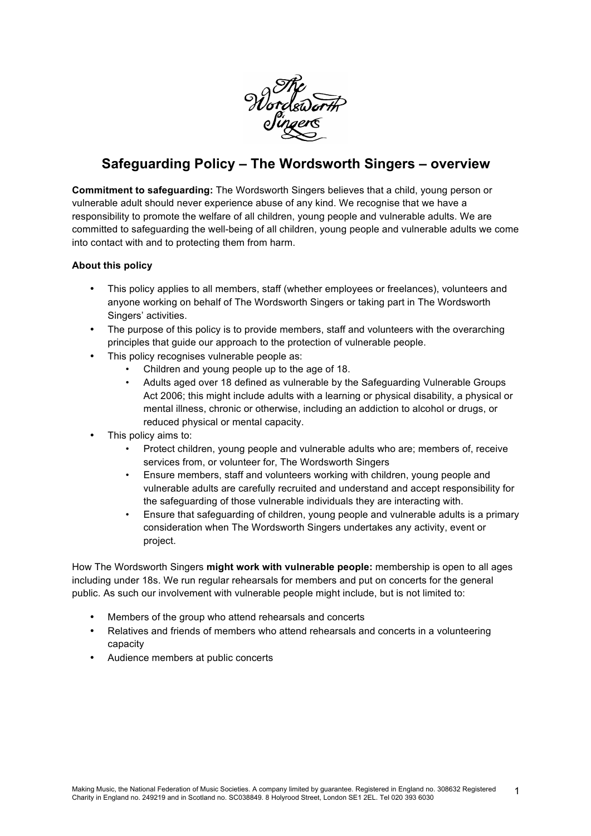

# **Safeguarding Policy – The Wordsworth Singers – overview**

**Commitment to safeguarding:** The Wordsworth Singers believes that a child, young person or vulnerable adult should never experience abuse of any kind. We recognise that we have a responsibility to promote the welfare of all children, young people and vulnerable adults. We are committed to safeguarding the well-being of all children, young people and vulnerable adults we come into contact with and to protecting them from harm.

#### **About this policy**

- This policy applies to all members, staff (whether employees or freelances), volunteers and anyone working on behalf of The Wordsworth Singers or taking part in The Wordsworth Singers' activities.
- The purpose of this policy is to provide members, staff and volunteers with the overarching principles that guide our approach to the protection of vulnerable people.
- This policy recognises vulnerable people as:
	- Children and young people up to the age of 18.
	- Adults aged over 18 defined as vulnerable by the Safeguarding Vulnerable Groups Act 2006; this might include adults with a learning or physical disability, a physical or mental illness, chronic or otherwise, including an addiction to alcohol or drugs, or reduced physical or mental capacity.
- This policy aims to:
	- Protect children, young people and vulnerable adults who are; members of, receive services from, or volunteer for, The Wordsworth Singers
	- Ensure members, staff and volunteers working with children, young people and vulnerable adults are carefully recruited and understand and accept responsibility for the safeguarding of those vulnerable individuals they are interacting with.
	- Ensure that safeguarding of children, young people and vulnerable adults is a primary consideration when The Wordsworth Singers undertakes any activity, event or project.

How The Wordsworth Singers **might work with vulnerable people:** membership is open to all ages including under 18s. We run regular rehearsals for members and put on concerts for the general public. As such our involvement with vulnerable people might include, but is not limited to:

- Members of the group who attend rehearsals and concerts
- Relatives and friends of members who attend rehearsals and concerts in a volunteering capacity
- Audience members at public concerts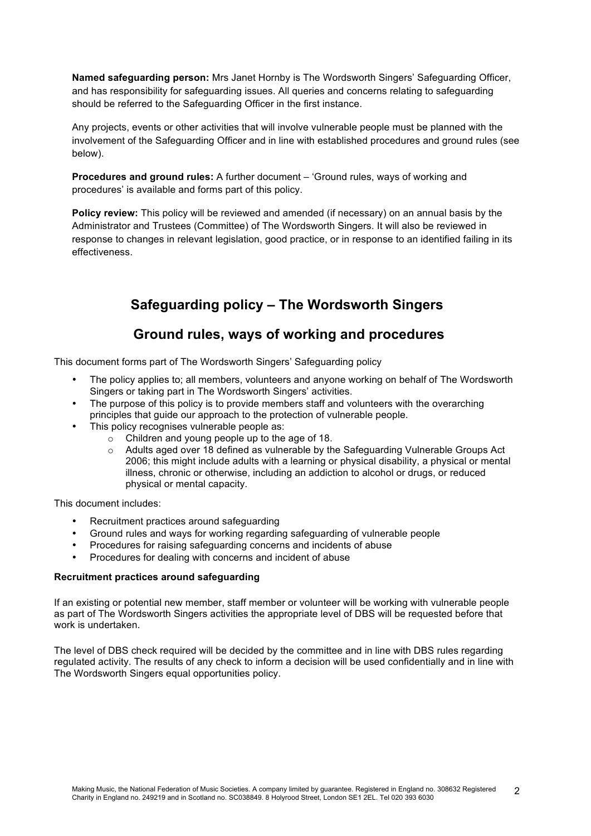**Named safeguarding person:** Mrs Janet Hornby is The Wordsworth Singers' Safeguarding Officer, and has responsibility for safeguarding issues. All queries and concerns relating to safeguarding should be referred to the Safeguarding Officer in the first instance.

Any projects, events or other activities that will involve vulnerable people must be planned with the involvement of the Safeguarding Officer and in line with established procedures and ground rules (see below).

**Procedures and ground rules:** A further document – 'Ground rules, ways of working and procedures' is available and forms part of this policy.

**Policy review:** This policy will be reviewed and amended (if necessary) on an annual basis by the Administrator and Trustees (Committee) of The Wordsworth Singers. It will also be reviewed in response to changes in relevant legislation, good practice, or in response to an identified failing in its effectiveness.

## **Safeguarding policy – The Wordsworth Singers**

### **Ground rules, ways of working and procedures**

This document forms part of The Wordsworth Singers' Safeguarding policy

- The policy applies to; all members, volunteers and anyone working on behalf of The Wordsworth Singers or taking part in The Wordsworth Singers' activities.
- The purpose of this policy is to provide members staff and volunteers with the overarching principles that guide our approach to the protection of vulnerable people.
- This policy recognises vulnerable people as:
	- $\circ$  Children and young people up to the age of 18.
	- o Adults aged over 18 defined as vulnerable by the Safeguarding Vulnerable Groups Act 2006; this might include adults with a learning or physical disability, a physical or mental illness, chronic or otherwise, including an addiction to alcohol or drugs, or reduced physical or mental capacity.

This document includes:

- Recruitment practices around safeguarding
- Ground rules and ways for working regarding safeguarding of vulnerable people
- Procedures for raising safeguarding concerns and incidents of abuse
- Procedures for dealing with concerns and incident of abuse

#### **Recruitment practices around safeguarding**

If an existing or potential new member, staff member or volunteer will be working with vulnerable people as part of The Wordsworth Singers activities the appropriate level of DBS will be requested before that work is undertaken.

The level of DBS check required will be decided by the committee and in line with DBS rules regarding regulated activity. The results of any check to inform a decision will be used confidentially and in line with The Wordsworth Singers equal opportunities policy.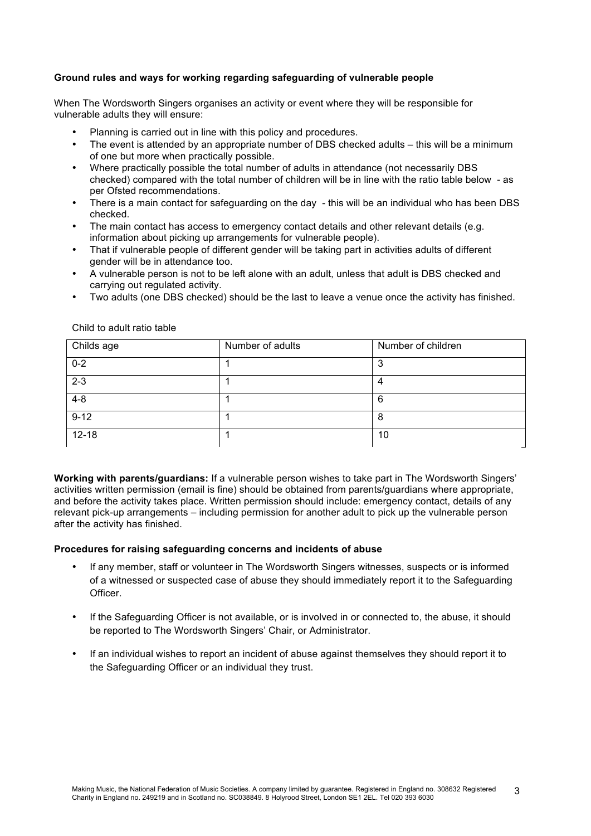#### **Ground rules and ways for working regarding safeguarding of vulnerable people**

When The Wordsworth Singers organises an activity or event where they will be responsible for vulnerable adults they will ensure:

- Planning is carried out in line with this policy and procedures.
- The event is attended by an appropriate number of DBS checked adults this will be a minimum of one but more when practically possible.
- Where practically possible the total number of adults in attendance (not necessarily DBS checked) compared with the total number of children will be in line with the ratio table below - as per Ofsted recommendations.
- There is a main contact for safeguarding on the day this will be an individual who has been DBS checked.
- The main contact has access to emergency contact details and other relevant details (e.g. information about picking up arrangements for vulnerable people).
- That if vulnerable people of different gender will be taking part in activities adults of different gender will be in attendance too.
- A vulnerable person is not to be left alone with an adult, unless that adult is DBS checked and carrying out regulated activity.
- Two adults (one DBS checked) should be the last to leave a venue once the activity has finished.

| Childs age | Number of adults | Number of children |
|------------|------------------|--------------------|
| $0 - 2$    |                  | ົ<br>w             |
| $2 - 3$    |                  | 4                  |
| $4 - 8$    |                  | 6                  |
| $9 - 12$   |                  | 8                  |
| $12 - 18$  |                  | 10                 |

Child to adult ratio table

**Working with parents/guardians:** If a vulnerable person wishes to take part in The Wordsworth Singers' activities written permission (email is fine) should be obtained from parents/guardians where appropriate, and before the activity takes place. Written permission should include: emergency contact, details of any relevant pick-up arrangements – including permission for another adult to pick up the vulnerable person after the activity has finished.

#### **Procedures for raising safeguarding concerns and incidents of abuse**

- If any member, staff or volunteer in The Wordsworth Singers witnesses, suspects or is informed of a witnessed or suspected case of abuse they should immediately report it to the Safeguarding Officer.
- If the Safeguarding Officer is not available, or is involved in or connected to, the abuse, it should be reported to The Wordsworth Singers' Chair, or Administrator.
- If an individual wishes to report an incident of abuse against themselves they should report it to the Safeguarding Officer or an individual they trust.